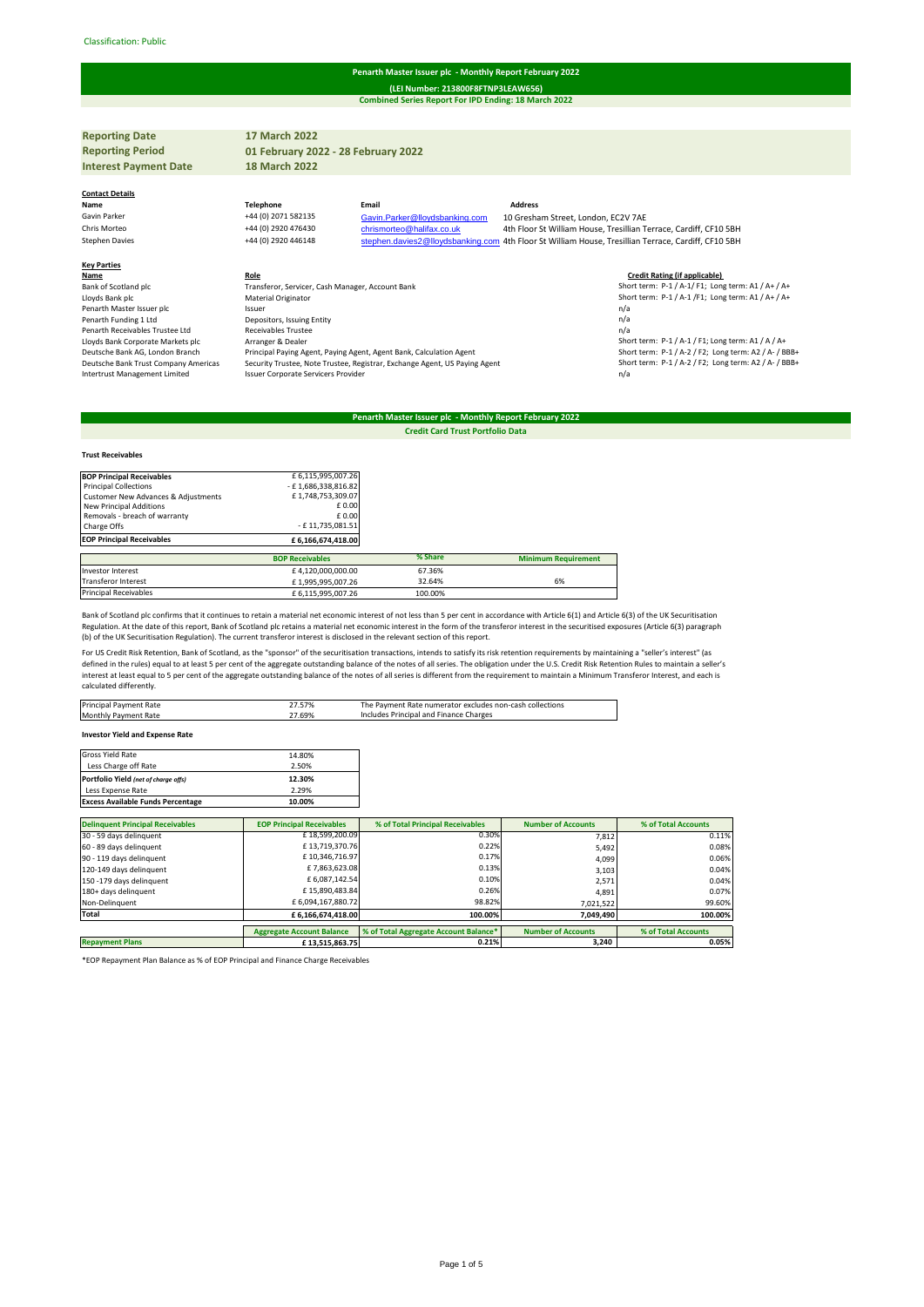#### Classification: Public#

#### **Penarth Master Issuer plc - Monthly Report February 2022**

**Combined Series Report For IPD Ending: 18 March 2022 (LEI Number: 213800F8FTNP3LEAW656)**

**Reporting Date 17 March 2022 Reporting Period Interest Payment Date 18 March 2022 Contact Details Name Telephone Email Address** Gavin Parker +44 (0) 2071 582135 Gavin. Parker @lloydsbanking.com 10 Gresham Street, London, EC2V 7AE<br>Fris Morteo +44 (0) 2920 476430 chrismorteo @halifax.co.uk 4th Floor St William House, Tresillian Ti Chris Morteo +44 (0) 2920 476430 [chrismorteo@halifax.co.uk](mailto:chrismorteo@halifax.co.uk) 4th Floor St William House, Tresillian Terrace, Cardiff, CF10 5BH<br>Stephen.davies2@lloydsbanking.com 4th Floor St William House, Tresillian Terrace, Cardiff, CF10 5 stephen davies 2@lloydsbanking.com 4th Floor St William House, Tresillian Terrace, Cardiff, CF10 5BH **Key Parties Name Role Role Role Role Role Role Role Credit Rating (if applicable) Credit Rating (if applicable) Credit Rating (if applicable) Credit Rating (if applicable) Credit Rating (if applicable) Credi** Bank of Scotland plc **Transferor, Servicer, Cash Manager, Account Bank** Show term: P-1 / A-1/ A-1/ F1; Long term: A1 / A+ / A+<br>
Lloyds Bank plc **Short term: P-1 / A-1/F1;** Long term: A1 / A+ / A+ Laterial Originator<br>
Material Originator<br>
Short term: P-1 / A-1 /F1; Long term: A1 / A+ / A+<br>
Short term: P-1 / A-1 /F1; Long term: A1 / A+ / A+<br>
Material Originator Penarth Master Issuer plc **Issuer** and Issuer plc Issuer plc Issuer plc Issuer plc Issuer plc Issuer plc Issuer plc Issuer plc Issuer plc Issuer plc Issuer plc Issuer plc Issuer plc Issuer plc Issuer plc Issuer plc Issuer Penarth Funding 1 Ltd **Depositors, Issuing Entity Depositors, Issuing Entity Penarth Funding 1 Ltd n/a**<br>Penarth Receivables Trustee 1 td **Beceivables Trustee n/a** Penarth Receivables Trustee Ltd<br>Receivables Trustee Ltd<br>Receivables Trustee Nackets plc Lloyds Bank Corporate Markets plc Arranger & Dealer Corporate Arranger & Dealer Corporate Markets plc Arranger & Dealer<br>1984 Deutsche Bank AG, London Branch Principal Paying Agent, Paying Agent, Agent Bank, Calculation Age Deutsche Bank AG, London Branch Principal Paying Agent, Paying Agent, Agent Bank, Calculation Agent Short term: P-1 / A-2 / F2; Long term: A2 / A- / BBB+ Deutsche Bank Trust Company Americas Security Trustee, Note Trustee, Registrar, Exchange Agent, US Paying Agent<br>1/ Intertrust Management Limited statem: P-1 / A-2 / Issuer Corporate Servicers Provider Issuer Corporate Servicers Provide **01 February 2022 - 28 February 2022**

## **Penarth Master Issuer plc - Monthly Report February 2022 Credit Card Trust Portfolio Data**

# **Trust Receivables BOP Principal Receivables** <br>  $2 \text{ Principal Collections}$ <br>  $\begin{array}{r} \text{Principal Collections} \\ \text{Customer News Address} \\ \text{New Principles} \\ \text{New Principles} \\ \text{New Principles} \\ \text{New Principles} \\ \text{New Principles} \\ \text{New Principles} \\ \text{New Principles} \\ \text{New Principles} \\ \text{New Principles} \\ \text{New Principles} \\ \text{New Principles} \\ \text{New Principles} \\ \text{New Principles} \\ \text{New$  Removals - breach of warranty £ 0.00 Charge Offs - E 11,735,081.51<br>
Charge Offs - E 11,735,081.51<br>
EOP Principal Receivables - E 6,166,674,418.00 **EOP Principal Receivables BOP Receivables % Share Minimum Requirement** Investor Interest <br>
Transferor Interest **E** 4,120,000,000.00 67.36%<br>
Fansferor Interest **£** 4,1995,995,007.26 32.64% ft,995,995,007.26 32.64% 32.64% 6% Principal Receivables <br>  $£ 6,115,995,007.26$  100.00%

Bank of Scotland plc confirms that it continues to retain a material net economic interest of not less than 5 per cent in accordance with Article 6(1) and Article 6(3) of the UK Securitisation Regulation. At the date of this report, Bank of Scotland plc retains a material net economic interest in the form of the transferor interest in the securitised exposures (Article 6(3) paragraph<br>(b) of the UK Securitisation

For US Credit Risk Retention, Bank of Scotland, as the "sponsor" of the securitisation transactions, intends to satisfy its risk retention requirements by maintaining a "seller's interest" (as defined in the rules) equal to at least 5 per cent of the aggregate outstanding balance of the notes of all series. The obligation under the U.S. Credit Risk Retention Rules to maintain a seller's interest at least equal to 5 per cent of the aggregate outstanding balance of the notes of all series is different from the requirement to maintain a Minimum Transferor Interest, and each is calculated differently.

| Principal Payment Rate      | 27.57% | The Payment Rate numerator excludes non-cash collections |
|-----------------------------|--------|----------------------------------------------------------|
| <b>Monthly Payment Rate</b> | 27.69% | Includes Principal and Finance Charges                   |
| .                           |        |                                                          |

**Investor Yield and Expense Rate**

| Gross Yield Rate                         | 14.80% |
|------------------------------------------|--------|
| Less Charge off Rate                     | 2.50%  |
| Portfolio Yield (net of charge offs)     | 12.30% |
| Less Expense Rate                        | 2.29%  |
| <b>Excess Available Funds Percentage</b> | 10.00% |

| <b>Delinquent Principal Receivables</b> | <b>EOP Principal Receivables</b> | % of Total Principal Receivables      | <b>Number of Accounts</b> | % of Total Accounts |
|-----------------------------------------|----------------------------------|---------------------------------------|---------------------------|---------------------|
| 30 - 59 days delinquent                 | £18,599,200.09                   | 0.30%                                 | 7.812                     | 0.11%               |
| 60 - 89 days delinquent                 | £13,719,370.76                   | 0.22%                                 | 5,492                     | 0.08%               |
| 90 - 119 days delinquent                | £10.346.716.97                   | 0.17%                                 | 4,099                     | 0.06%               |
| 120-149 days delinquent                 | £7,863,623.08                    | 0.13%                                 | 3,103                     | 0.04%               |
| 150 -179 days delinquent                | £ 6,087,142.54                   | 0.10%                                 | 2.571                     | 0.04%               |
| 180+ days delinquent                    | £15,890,483.84                   | 0.26%                                 | 4.891                     | 0.07%               |
| Non-Delinquent                          | £6,094,167,880.72                | 98.82%                                | 7,021,522                 | 99.60%              |
| Total                                   | £6,166,674,418.00                | 100.00%                               | 7.049.490                 | 100.00%             |
|                                         | <b>Aggregate Account Balance</b> | % of Total Aggregate Account Balance* | <b>Number of Accounts</b> | % of Total Accounts |
| <b>Repayment Plans</b>                  | £13.515.863.75                   | 0.21%                                 | 3.240                     | 0.05%               |

\*EOP Repayment Plan Balance as % of EOP Principal and Finance Charge Receivables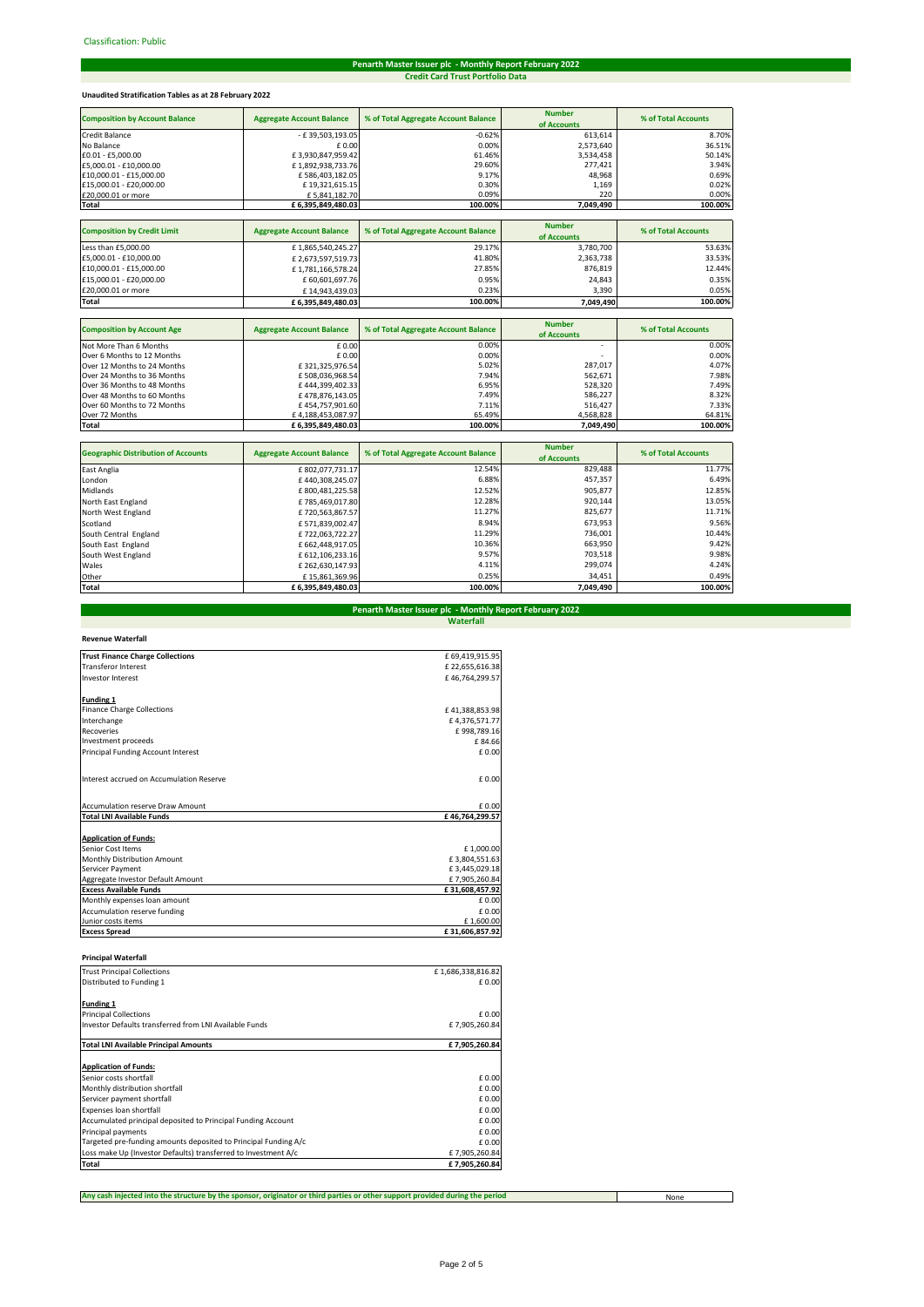# **Credit Card Trust Portfolio Data Penarth Master Issuer plc - Monthly Report February 2022**

# **Unaudited Stratification Tables as at 28 February 2022**

| <b>Composition by Account Balance</b> | <b>Aggregate Account Balance</b> | % of Total Aggregate Account Balance | <b>Number</b><br>of Accounts | % of Total Accounts |
|---------------------------------------|----------------------------------|--------------------------------------|------------------------------|---------------------|
| <b>Credit Balance</b>                 | - £39,503,193.05                 | $-0.62%$                             | 613,614                      | 8.70%               |
| No Balance                            | £0.00                            | 0.00%                                | 2,573,640                    | 36.51%              |
| £0.01 - £5,000.00                     | £3,930,847,959.42                | 61.46%                               | 3,534,458                    | 50.14%              |
| £5,000.01 - £10,000.00                | £1,892,938,733.76                | 29.60%                               | 277,421                      | 3.94%               |
| £10,000.01 - £15,000.00               | £586,403,182.05                  | 9.17%                                | 48,968                       | 0.69%               |
| £15,000.01 - £20,000.00               | £19,321,615.15                   | 0.30%                                | 1,169                        | 0.02%               |
| £20,000.01 or more                    | £5,841,182.70                    | 0.09%                                | 220                          | 0.00%               |
| Total                                 | £ 6,395,849,480.03               | 100.00%                              | 7,049,490                    | 100.00%             |
|                                       |                                  |                                      |                              |                     |
| <b>Composition by Credit Limit</b>    | <b>Aggregate Account Balance</b> | % of Total Aggregate Account Balance | <b>Number</b>                | % of Total Accounts |
|                                       |                                  |                                      | of Accounts                  |                     |
| Less than £5,000.00                   | £1,865,540,245.27                | 29.17%                               | 3,780,700                    | 53.63%              |
| £5,000.01 - £10,000.00                | £2,673,597,519.73                | 41.80%                               | 2,363,738                    | 33.53%              |
| £10,000.01 - £15,000.00               | £1,781,166,578.24                | 27.85%                               | 876,819                      | 12.44%              |
| £15,000.01 - £20,000.00               | £60,601,697.76                   | 0.95%                                | 24,843                       | 0.35%               |
| £20,000.01 or more                    | £14,943,439.03                   | 0.23%                                | 3,390                        | 0.05%               |
| Total                                 | £ 6,395,849,480.03               | 100.00%                              | 7,049,490                    | 100.00%             |
|                                       |                                  |                                      |                              |                     |
| <b>Composition by Account Age</b>     | <b>Aggregate Account Balance</b> | % of Total Aggregate Account Balance | <b>Number</b>                | % of Total Accounts |
|                                       |                                  |                                      | of Accounts                  |                     |
| Not More Than 6 Months                | £0.00                            | 0.00%                                |                              | 0.00%               |

| Not More Than 6 Months      | £ 0.00            | 0.00%   | $\overline{\phantom{0}}$ | 0.00%   |
|-----------------------------|-------------------|---------|--------------------------|---------|
| Over 6 Months to 12 Months  | £ 0.00            | 0.00%   | $\overline{\phantom{0}}$ | 0.00%   |
| Over 12 Months to 24 Months | £321.325.976.54   | 5.02%   | 287.017                  | 4.07%   |
| Over 24 Months to 36 Months | £508.036.968.54   | 7.94%   | 562.671                  | 7.98%   |
| Over 36 Months to 48 Months | £444.399.402.33   | 6.95%   | 528.320                  | 7.49%   |
| Over 48 Months to 60 Months | £478.876.143.05   | 7.49%   | 586.227                  | 8.32%   |
| Over 60 Months to 72 Months | £454.757.901.60   | 7.11%   | 516.427                  | 7.33%   |
| Over 72 Months              | £4.188.453.087.97 | 65.49%  | 4.568.828                | 64.81%  |
| <b>Total</b>                | £6.395.849.480.03 | 100.00% | 7.049.490                | 100.00% |

| <b>Geographic Distribution of Accounts</b> | <b>Aggregate Account Balance</b> | % of Total Aggregate Account Balance | <b>Number</b><br>of Accounts | % of Total Accounts |
|--------------------------------------------|----------------------------------|--------------------------------------|------------------------------|---------------------|
| East Anglia                                | £802,077,731.17                  | 12.54%                               | 829,488                      | 11.77%              |
| London                                     | £440.308.245.07                  | 6.88%                                | 457.357                      | 6.49%               |
| Midlands                                   | £800.481.225.58                  | 12.52%                               | 905,877                      | 12.85%              |
| North East England                         | £785.469.017.80                  | 12.28%                               | 920,144                      | 13.05%              |
| North West England                         | £720,563,867.57                  | 11.27%                               | 825,677                      | 11.71%              |
| Scotland                                   | £571,839,002.47                  | 8.94%                                | 673.953                      | 9.56%               |
| South Central England                      | £722.063.722.27                  | 11.29%                               | 736.001                      | 10.44%              |
| South East England                         | £662.448.917.05                  | 10.36%                               | 663.950                      | 9.42%               |
| South West England                         | £ 612,106,233.16                 | 9.57%                                | 703.518                      | 9.98%               |
| Wales                                      | £262.630.147.93                  | 4.11%                                | 299.074                      | 4.24%               |
| Other                                      | £15.861.369.96                   | 0.25%                                | 34.451                       | 0.49%               |
| Total                                      | £6,395,849,480.03                | 100.00%                              | 7,049,490                    | 100.00%             |

# **Penarth Master Issuer plc - Monthly Report February 2022 Waterfall**

| <b>Revenue Waterfall</b> |
|--------------------------|
|                          |

| <b>Trust Finance Charge Collections</b>  | £69,419,915.95 |
|------------------------------------------|----------------|
| <b>Transferor Interest</b>               | £22,655,616.38 |
| <b>Investor Interest</b>                 | £46.764.299.57 |
| <b>Funding 1</b>                         |                |
| <b>Finance Charge Collections</b>        | £41,388,853.98 |
| Interchange                              | £4,376,571.77  |
| Recoveries                               | £998,789.16    |
| Investment proceeds                      | £84.66         |
| Principal Funding Account Interest       | £0.00          |
| Interest accrued on Accumulation Reserve | £ 0.00         |
| <b>Accumulation reserve Draw Amount</b>  | £ 0.00         |
| <b>Total LNI Available Funds</b>         | £46.764.299.57 |
| <b>Application of Funds:</b>             |                |
| Senior Cost Items                        | £1,000.00      |
| <b>Monthly Distribution Amount</b>       | £3,804,551.63  |
| Servicer Payment                         | £3,445,029.18  |
| Aggregate Investor Default Amount        | £7,905,260.84  |
| <b>Excess Available Funds</b>            | £31,608,457.92 |
| Monthly expenses loan amount             | £ 0.00         |
| Accumulation reserve funding             | £ 0.00         |
| Junior costs items                       | £1,600.00      |
| <b>Excess Spread</b>                     | £31,606,857.92 |

| <b>Principal Waterfall</b> |  |
|----------------------------|--|
|----------------------------|--|

| <b>Trust Principal Collections</b>                              | £1,686,338,816.82 |
|-----------------------------------------------------------------|-------------------|
| Distributed to Funding 1                                        | £0.00             |
| <b>Funding 1</b>                                                |                   |
| <b>Principal Collections</b>                                    | £0.00             |
| Investor Defaults transferred from LNI Available Funds          | £7,905,260.84     |
| <b>Total LNI Available Principal Amounts</b>                    | £7,905,260.84     |
| <b>Application of Funds:</b>                                    |                   |
| Senior costs shortfall                                          | £ 0.00            |
| Monthly distribution shortfall                                  | £0.00             |
| Servicer payment shortfall                                      | £0.00             |
| Expenses loan shortfall                                         | £0.00             |
| Accumulated principal deposited to Principal Funding Account    | £0.00             |
| Principal payments                                              | £ 0.00            |
| Targeted pre-funding amounts deposited to Principal Funding A/c | £0.00             |
| Loss make Up (Investor Defaults) transferred to Investment A/c  | £7,905,260.84     |
| Total                                                           | £7,905,260.84     |

**Any cash injected into the structure by the sponsor, originator or third parties or other support provided during the period**

None

 $\Box$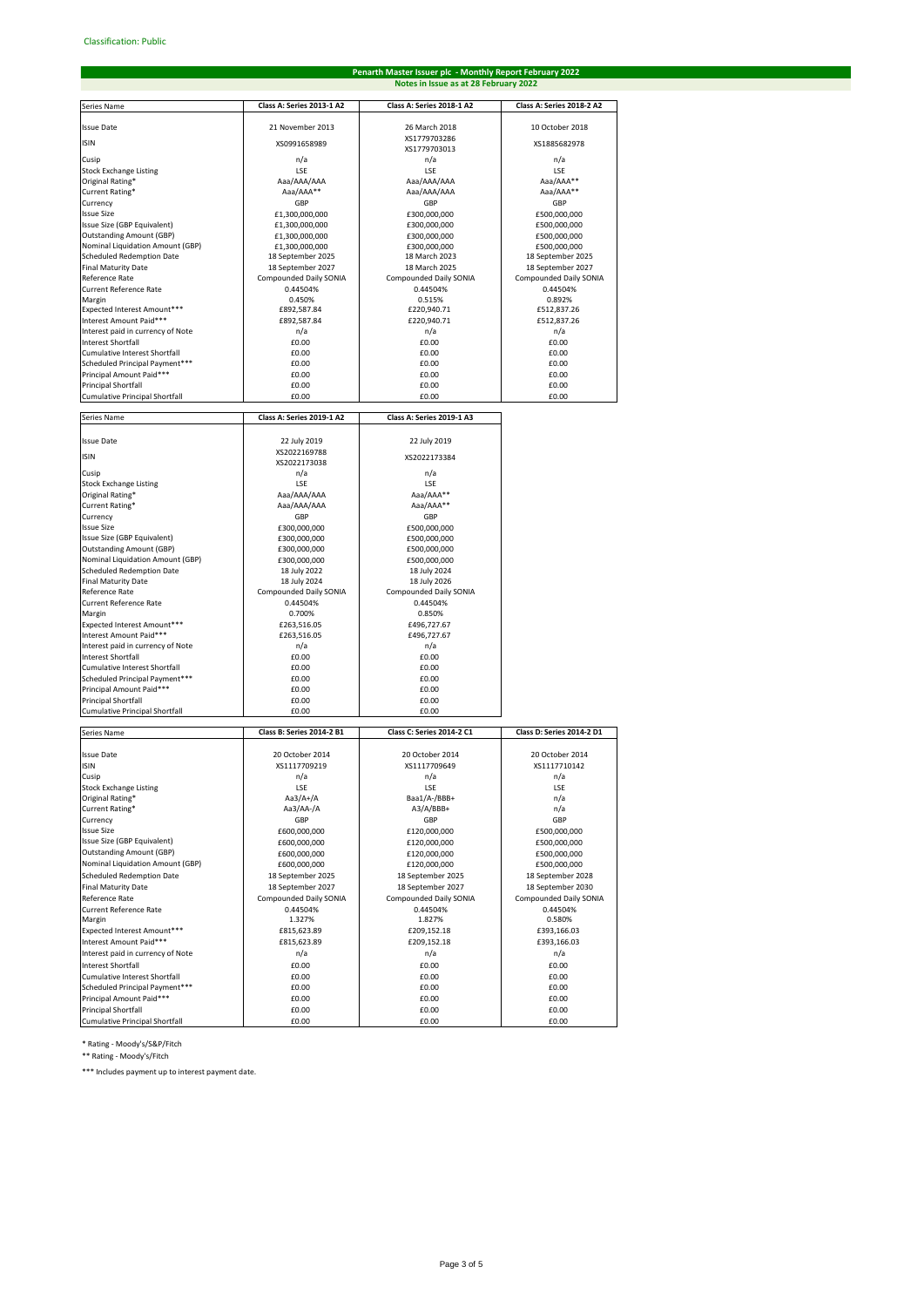# **Penarth Master Issuer plc - Monthly Report February 2022 Notes in Issue as at 28 February 2022**

| Series Name                                                          | Class A: Series 2013-1 A2                   | Class A: Series 2018-1 A2                   | Class A: Series 2018-2 A2                   |
|----------------------------------------------------------------------|---------------------------------------------|---------------------------------------------|---------------------------------------------|
| <b>Issue Date</b>                                                    | 21 November 2013                            | 26 March 2018                               | 10 October 2018                             |
| <b>ISIN</b>                                                          | XS0991658989                                | XS1779703286                                | XS1885682978                                |
| Cusip                                                                | n/a                                         | XS1779703013                                |                                             |
| <b>Stock Exchange Listing</b>                                        | LSE                                         | n/a<br>LSE                                  | n/a<br>LSE                                  |
| Original Rating*                                                     | Aaa/AAA/AAA                                 | Aaa/AAA/AAA                                 | Aaa/AAA**                                   |
| Current Rating*                                                      | Aaa/AAA**                                   | Aaa/AAA/AAA                                 | Aaa/AAA**                                   |
| Currency<br><b>Issue Size</b>                                        | GBP                                         | GBP<br>£300,000,000                         | GBP<br>£500,000,000                         |
| Issue Size (GBP Equivalent)                                          | £1,300,000,000<br>£1,300,000,000            | £300,000,000                                | £500,000,000                                |
| <b>Outstanding Amount (GBP)</b>                                      | £1,300,000,000                              | £300,000,000                                | £500,000,000                                |
| Nominal Liquidation Amount (GBP)                                     | £1,300,000,000                              | £300,000,000                                | £500,000,000                                |
| Scheduled Redemption Date<br><b>Final Maturity Date</b>              | 18 September 2025<br>18 September 2027      | 18 March 2023<br>18 March 2025              | 18 September 2025<br>18 September 2027      |
| Reference Rate                                                       | Compounded Daily SONIA                      | Compounded Daily SONIA                      | Compounded Daily SONIA                      |
| <b>Current Reference Rate</b>                                        | 0.44504%                                    | 0.44504%                                    | 0.44504%                                    |
| Margin                                                               | 0.450%                                      | 0.515%                                      | 0.892%                                      |
| Expected Interest Amount***<br>Interest Amount Paid***               | £892,587.84<br>£892,587.84                  | £220,940.71<br>£220,940.71                  | £512,837.26<br>£512,837.26                  |
| Interest paid in currency of Note                                    | n/a                                         | n/a                                         | n/a                                         |
| <b>Interest Shortfall</b>                                            | £0.00                                       | £0.00                                       | £0.00                                       |
| Cumulative Interest Shortfall                                        | £0.00                                       | £0.00                                       | £0.00                                       |
| Scheduled Principal Payment***                                       | £0.00<br>£0.00                              | £0.00<br>£0.00                              | £0.00<br>£0.00                              |
| Principal Amount Paid***<br>Principal Shortfall                      | £0.00                                       | £0.00                                       | £0.00                                       |
| <b>Cumulative Principal Shortfall</b>                                | £0.00                                       | £0.00                                       | £0.00                                       |
|                                                                      |                                             |                                             |                                             |
| Series Name                                                          | Class A: Series 2019-1 A2                   | Class A: Series 2019-1 A3                   |                                             |
| <b>Issue Date</b>                                                    | 22 July 2019                                | 22 July 2019                                |                                             |
| <b>ISIN</b>                                                          | XS2022169788<br>XS2022173038                | XS2022173384                                |                                             |
| Cusip                                                                | n/a                                         | n/a                                         |                                             |
| <b>Stock Exchange Listing</b>                                        | LSE                                         | LSE                                         |                                             |
| Original Rating*                                                     | Aaa/AAA/AAA                                 | Aaa/AAA**                                   |                                             |
| Current Rating*<br>Currencv                                          | Aaa/AAA/AAA<br>GBP                          | Aaa/AAA**<br>GBP                            |                                             |
| <b>Issue Size</b>                                                    | £300,000,000                                | £500.000.000                                |                                             |
| Issue Size (GBP Equivalent)                                          | £300,000,000                                | £500,000,000                                |                                             |
| <b>Outstanding Amount (GBP)</b>                                      | £300,000,000                                | £500,000,000                                |                                             |
| Nominal Liquidation Amount (GBP)<br><b>Scheduled Redemption Date</b> | £300,000,000<br>18 July 2022                | £500,000,000<br>18 July 2024                |                                             |
| <b>Final Maturity Date</b>                                           | 18 July 2024                                | 18 July 2026                                |                                             |
| Reference Rate                                                       | Compounded Daily SONIA                      | Compounded Daily SONIA                      |                                             |
| <b>Current Reference Rate</b>                                        | 0.44504%                                    | 0.44504%                                    |                                             |
| Margin<br>Expected Interest Amount***                                | 0.700%<br>£263,516.05                       | 0.850%<br>£496,727.67                       |                                             |
| Interest Amount Paid***                                              | £263,516.05                                 | £496,727.67                                 |                                             |
| Interest paid in currency of Note                                    | n/a                                         | n/a                                         |                                             |
| <b>Interest Shortfall</b>                                            | £0.00                                       | £0.00                                       |                                             |
| Cumulative Interest Shortfall<br>Scheduled Principal Payment***      | £0.00<br>£0.00                              | £0.00<br>£0.00                              |                                             |
| Principal Amount Paid***                                             | £0.00                                       | £0.00                                       |                                             |
| <b>Principal Shortfall</b>                                           | £0.00                                       | £0.00                                       |                                             |
| Cumulative Principal Shortfall                                       | £0.00                                       | £0.00                                       |                                             |
| Series Name                                                          | Class B: Series 2014-2 B1                   | <b>Class C: Series 2014-2 C1</b>            | Class D: Series 2014-2 D1                   |
|                                                                      |                                             |                                             |                                             |
| <b>Issue Date</b><br><b>ISIN</b>                                     | 20 October 2014<br>XS1117709219             | 20 October 2014<br>XS1117709649             | 20 October 2014<br>XS1117710142             |
| Cusip                                                                | n/a                                         | n/a                                         | n/a                                         |
| <b>Stock Exchange Listing</b>                                        | LSE                                         | <b>LSE</b>                                  | LSE                                         |
| Original Rating*                                                     | Aa3/A+/A                                    | Baa1/A-/BBB+                                | n/a                                         |
| Current Rating*<br>Currency                                          | Aa3/AA-/A<br>GBP                            | A3/A/BBB+<br>GBP                            | n/a<br>GBP                                  |
| <b>Issue Size</b>                                                    | £600,000,000                                | £120,000,000                                | £500,000,000                                |
| Issue Size (GBP Equivalent)                                          | £600,000,000                                | £120,000,000                                | £500,000,000                                |
| <b>Outstanding Amount (GBP)</b>                                      | £600,000,000                                | £120,000,000                                | £500,000,000                                |
| Nominal Liquidation Amount (GBP)                                     | £600,000,000                                | £120,000,000                                | £500,000,000                                |
| <b>Scheduled Redemption Date</b><br><b>Final Maturity Date</b>       | 18 September 2025                           | 18 September 2025                           | 18 September 2028                           |
| Reference Rate                                                       | 18 September 2027<br>Compounded Daily SONIA | 18 September 2027<br>Compounded Daily SONIA | 18 September 2030<br>Compounded Daily SONIA |
| <b>Current Reference Rate</b>                                        | 0.44504%                                    | 0.44504%                                    | 0.44504%                                    |
| Margin                                                               | 1.327%                                      | 1.827%                                      | 0.580%                                      |
| Expected Interest Amount***                                          | £815,623.89                                 | £209,152.18                                 | £393,166.03                                 |
| Interest Amount Paid***<br>Interest paid in currency of Note         | £815,623.89<br>n/a                          | £209,152.18<br>n/a                          | £393,166.03<br>n/a                          |
| <b>Interest Shortfall</b>                                            | £0.00                                       | £0.00                                       | £0.00                                       |
| Cumulative Interest Shortfall                                        | £0.00                                       | £0.00                                       | £0.00                                       |
| Scheduled Principal Payment***                                       | £0.00                                       | £0.00                                       | £0.00                                       |
| Principal Amount Paid***                                             | £0.00                                       | £0.00                                       | £0.00                                       |
| <b>Principal Shortfall</b><br>Cumulative Principal Shortfall         | £0.00<br>£0.00                              | £0.00<br>£0.00                              | £0.00<br>£0.00                              |
|                                                                      |                                             |                                             |                                             |

\* Rating - Moody's/S&P/Fitch

\*\* Rating - Moody's/Fitch

\*\*\* Includes payment up to interest payment date.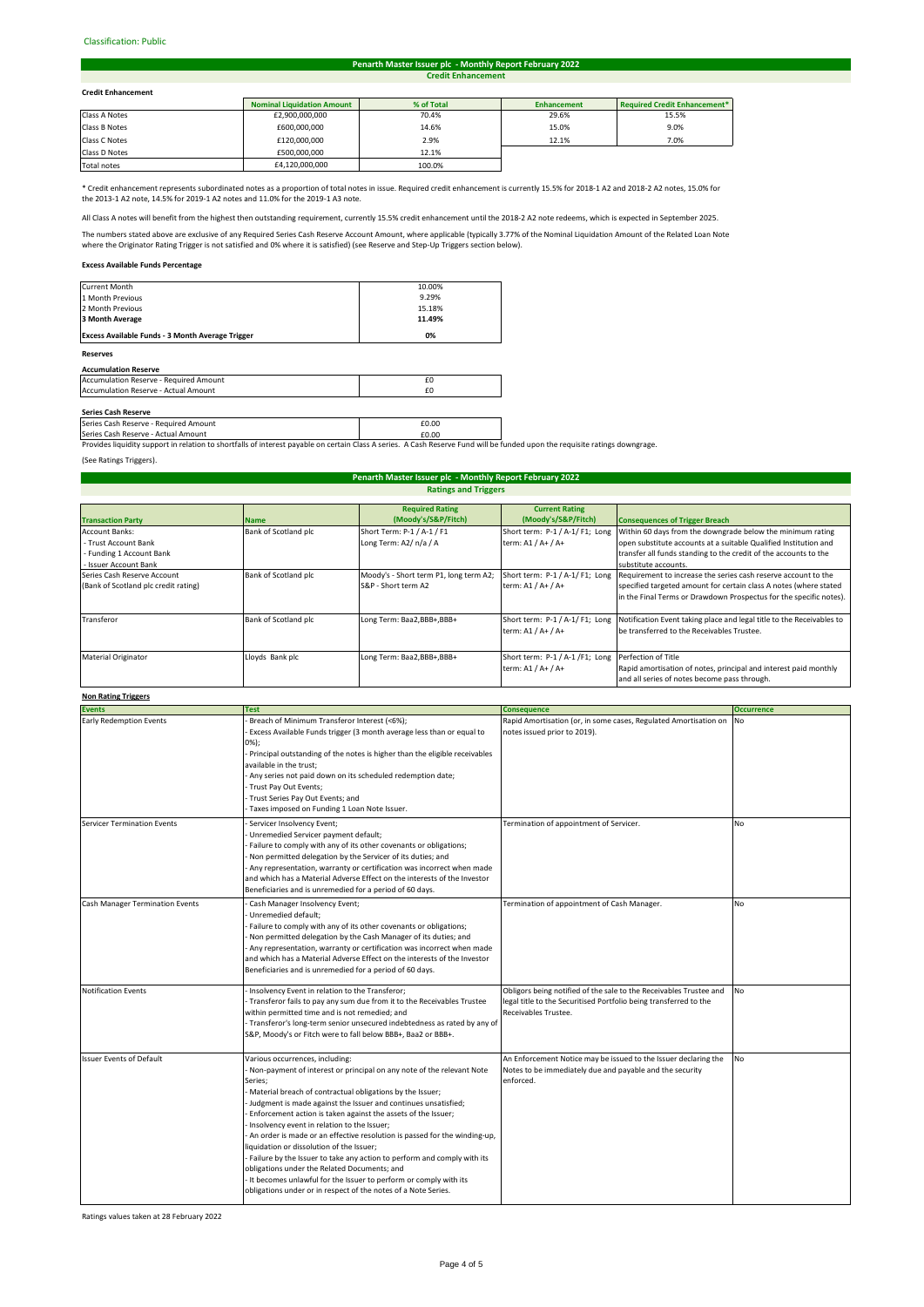## Classification: Public#

#### **Credit Enhancement Penarth Master Issuer plc - Monthly Report February 2022**

# **Credit Enhancement**

| <b>Credit Enhancement</b> |                                   |            |                    |                                     |  |
|---------------------------|-----------------------------------|------------|--------------------|-------------------------------------|--|
|                           | <b>Nominal Liquidation Amount</b> | % of Total | <b>Enhancement</b> | <b>Required Credit Enhancement*</b> |  |
| Class A Notes             | £2,900,000,000                    | 70.4%      | 29.6%              | 15.5%                               |  |
| Class B Notes             | £600,000,000                      | 14.6%      | 15.0%              | 9.0%                                |  |
| Class C Notes             | £120,000,000                      | 2.9%       | 12.1%              | 7.0%                                |  |
| Class D Notes             | £500,000,000                      | 12.1%      |                    |                                     |  |
|                           |                                   |            |                    |                                     |  |

Total notes 64,120,000,000 100.0% i

\* Credit enhancement represents subordinated notes as a proportion of total notes in issue. Required credit enhancement is currently 15.5% for 2018-1 A2 and 2018-2 A2 notes, 15.0% for the 2013-1 A2 note, 14.5% for 2019-1 A2 notes and 11.0% for the 2019-1 A3 note.

All Class A notes will benefit from the highest then outstanding requirement, currently 15.5% credit enhancement until the 2018-2 A2 note redeems, which is expected in September 2025.

The numbers stated above are exclusive of any Required Series Cash Reserve Account Amount, where applicable (typically 3.77% of the Nominal Liquidation Amount of the Related Loan Note<br>where the Originator Rating Trigger is

# **Excess Available Funds Percentage**

| <b>Reserves</b>                                  |        |  |
|--------------------------------------------------|--------|--|
| Excess Available Funds - 3 Month Average Trigger | 0%     |  |
| 3 Month Average                                  | 11.49% |  |
| 2 Month Previous                                 | 15.18% |  |
| 1 Month Previous                                 | 9.29%  |  |
| Current Month                                    | 10.00% |  |

## **Accumulation Reserve**

| Accumulation Reserve - Required Amount |  |
|----------------------------------------|--|
| Accumulation Reserve - Actual Amount   |  |
|                                        |  |

**Series Cash Reserve**<br>Series Cash Reserve - Required Amount **£0.00 Example 2.000 Example 2.000** 

Series Cash Reserve - Actual Amount<br>Provides liquidity support in relation to shortfalls of interest payable on certain Class A series. A Cash Reserve Fund will be funded upon the requisite ratings downgrage.

(See Ratings Triggers).

# **Ratings and Triggers Penarth Master Issuer plc - Monthly Report February 2022**

|                                      |                      | <b>Required Rating</b>                 | <b>Current Rating</b>                               |                                                                       |
|--------------------------------------|----------------------|----------------------------------------|-----------------------------------------------------|-----------------------------------------------------------------------|
|                                      |                      |                                        |                                                     |                                                                       |
| <b>Transaction Party</b>             | <b>Name</b>          | (Moody's/S&P/Fitch)                    | (Moody's/S&P/Fitch)                                 | <b>Consequences of Trigger Breach</b>                                 |
| <b>Account Banks:</b>                | Bank of Scotland plc | Short Term: P-1 / A-1 / F1             | Short term: P-1 / A-1/ F1; Long                     | Within 60 days from the downgrade below the minimum rating            |
| - Trust Account Bank                 |                      | Long Term: A2/ n/a / A                 | term: A1 / A+ / A+                                  | open substitute accounts at a suitable Qualified Institution and      |
| - Funding 1 Account Bank             |                      |                                        |                                                     | transfer all funds standing to the credit of the accounts to the      |
| - Issuer Account Bank                |                      |                                        |                                                     | substitute accounts.                                                  |
| Series Cash Reserve Account          | Bank of Scotland plc | Moody's - Short term P1, long term A2; | Short term: P-1 / A-1/ F1; Long                     | Requirement to increase the series cash reserve account to the        |
| (Bank of Scotland plc credit rating) |                      | S&P - Short term A2                    | term: A1 / A+ / A+                                  | specified targeted amount for certain class A notes (where stated     |
|                                      |                      |                                        |                                                     | in the Final Terms or Drawdown Prospectus for the specific notes).    |
|                                      |                      |                                        |                                                     |                                                                       |
| Transferor                           | Bank of Scotland plc | Long Term: Baa2,BBB+,BBB+              | Short term: P-1 / A-1/ F1; Long                     | Notification Event taking place and legal title to the Receivables to |
|                                      |                      |                                        | term: A1 / A+ / A+                                  | be transferred to the Receivables Trustee.                            |
|                                      |                      |                                        |                                                     |                                                                       |
| <b>Material Originator</b>           | Lloyds Bank plc      | Long Term: Baa2,BBB+,BBB+              | Short term: P-1 / A-1 /F1; Long Perfection of Title |                                                                       |
|                                      |                      |                                        | term: A1 / A+ / A+                                  | Rapid amortisation of notes, principal and interest paid monthly      |
|                                      |                      |                                        |                                                     | and all series of notes become pass through.                          |

# **Non Rating Triggers**

| ניספויי מיישטח ושיר             |                                                                                                                                                                                                                                                                                                                                                                                                                                                                                                                                                                                                                                                                                                                                                                           |                                                                                                                                                                 |                   |  |  |
|---------------------------------|---------------------------------------------------------------------------------------------------------------------------------------------------------------------------------------------------------------------------------------------------------------------------------------------------------------------------------------------------------------------------------------------------------------------------------------------------------------------------------------------------------------------------------------------------------------------------------------------------------------------------------------------------------------------------------------------------------------------------------------------------------------------------|-----------------------------------------------------------------------------------------------------------------------------------------------------------------|-------------------|--|--|
| <b>Events</b>                   | <b>Test</b>                                                                                                                                                                                                                                                                                                                                                                                                                                                                                                                                                                                                                                                                                                                                                               | <b>Consequence</b>                                                                                                                                              | <b>Occurrence</b> |  |  |
| <b>Early Redemption Events</b>  | Breach of Minimum Transferor Interest (<6%);<br>Excess Available Funds trigger (3 month average less than or equal to<br>$0\%$ );<br>- Principal outstanding of the notes is higher than the eligible receivables<br>available in the trust:<br>- Any series not paid down on its scheduled redemption date;<br>Trust Pay Out Events;<br>Trust Series Pay Out Events; and<br>Taxes imposed on Funding 1 Loan Note Issuer.                                                                                                                                                                                                                                                                                                                                                 | Rapid Amortisation (or, in some cases, Regulated Amortisation on<br>notes issued prior to 2019).                                                                | No                |  |  |
| Servicer Termination Events     | Servicer Insolvency Event;<br>Unremedied Servicer payment default;<br>Failure to comply with any of its other covenants or obligations;<br>Non permitted delegation by the Servicer of its duties; and<br>Any representation, warranty or certification was incorrect when made<br>and which has a Material Adverse Effect on the interests of the Investor<br>Beneficiaries and is unremedied for a period of 60 days.                                                                                                                                                                                                                                                                                                                                                   | Termination of appointment of Servicer.                                                                                                                         | <b>No</b>         |  |  |
| Cash Manager Termination Events | Cash Manager Insolvency Event;<br>Unremedied default;<br>Failure to comply with any of its other covenants or obligations;<br>Non permitted delegation by the Cash Manager of its duties; and<br>Any representation, warranty or certification was incorrect when made<br>and which has a Material Adverse Effect on the interests of the Investor<br>Beneficiaries and is unremedied for a period of 60 days.                                                                                                                                                                                                                                                                                                                                                            | Termination of appointment of Cash Manager.                                                                                                                     | <b>No</b>         |  |  |
| <b>Notification Events</b>      | Insolvency Event in relation to the Transferor;<br>- Transferor fails to pay any sum due from it to the Receivables Trustee<br>within permitted time and is not remedied; and<br>- Transferor's long-term senior unsecured indebtedness as rated by any of<br>S&P, Moody's or Fitch were to fall below BBB+, Baa2 or BBB+.                                                                                                                                                                                                                                                                                                                                                                                                                                                | Obligors being notified of the sale to the Receivables Trustee and<br>legal title to the Securitised Portfolio being transferred to the<br>Receivables Trustee. | <b>No</b>         |  |  |
| <b>Issuer Events of Default</b> | Various occurrences, including:<br>- Non-payment of interest or principal on any note of the relevant Note<br>Series;<br>Material breach of contractual obligations by the Issuer;<br>- Judgment is made against the Issuer and continues unsatisfied;<br>Enforcement action is taken against the assets of the Issuer;<br>- Insolvency event in relation to the Issuer;<br>- An order is made or an effective resolution is passed for the winding-up,<br>liquidation or dissolution of the Issuer;<br>- Failure by the Issuer to take any action to perform and comply with its<br>obligations under the Related Documents; and<br>- It becomes unlawful for the Issuer to perform or comply with its<br>obligations under or in respect of the notes of a Note Series. | An Enforcement Notice may be issued to the Issuer declaring the<br>Notes to be immediately due and payable and the security<br>enforced.                        | <b>No</b>         |  |  |

Ratings values taken at 28 February 2022